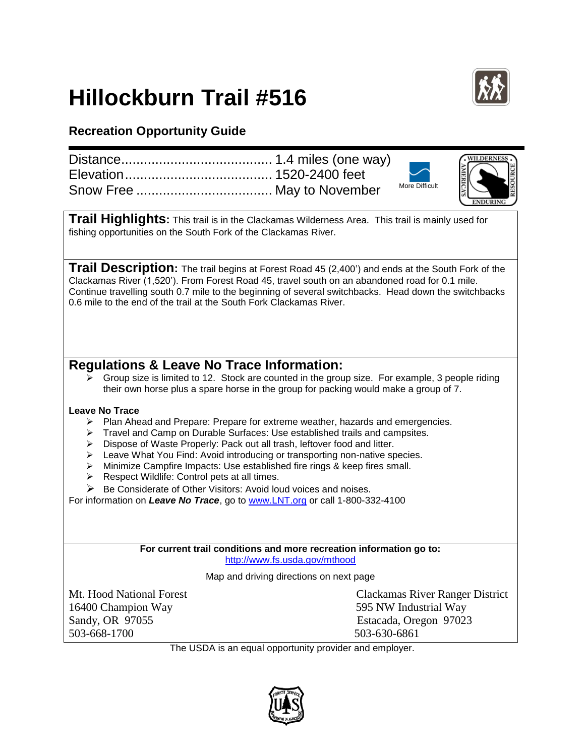## **Hillockburn Trail #516**



## **Recreation Opportunity Guide**

|                                                                                                                                                                                                                                                                                                                                                                                                                                                                                                                                                                                   | <b>/ILDERNES</b>                                                |
|-----------------------------------------------------------------------------------------------------------------------------------------------------------------------------------------------------------------------------------------------------------------------------------------------------------------------------------------------------------------------------------------------------------------------------------------------------------------------------------------------------------------------------------------------------------------------------------|-----------------------------------------------------------------|
|                                                                                                                                                                                                                                                                                                                                                                                                                                                                                                                                                                                   |                                                                 |
|                                                                                                                                                                                                                                                                                                                                                                                                                                                                                                                                                                                   | More Difficult                                                  |
| <b>Trail Highlights:</b> This trail is in the Clackamas Wilderness Area. This trail is mainly used for                                                                                                                                                                                                                                                                                                                                                                                                                                                                            |                                                                 |
| fishing opportunities on the South Fork of the Clackamas River.                                                                                                                                                                                                                                                                                                                                                                                                                                                                                                                   |                                                                 |
| <b>Trail Description:</b> The trail begins at Forest Road 45 (2,400') and ends at the South Fork of the                                                                                                                                                                                                                                                                                                                                                                                                                                                                           |                                                                 |
| Clackamas River (1,520'). From Forest Road 45, travel south on an abandoned road for 0.1 mile.<br>Continue travelling south 0.7 mile to the beginning of several switchbacks. Head down the switchbacks<br>0.6 mile to the end of the trail at the South Fork Clackamas River.                                                                                                                                                                                                                                                                                                    |                                                                 |
|                                                                                                                                                                                                                                                                                                                                                                                                                                                                                                                                                                                   |                                                                 |
|                                                                                                                                                                                                                                                                                                                                                                                                                                                                                                                                                                                   |                                                                 |
| Regulations & Leave No Trace Information:<br>Group size is limited to 12. Stock are counted in the group size. For example, 3 people riding<br>⋗                                                                                                                                                                                                                                                                                                                                                                                                                                  |                                                                 |
| their own horse plus a spare horse in the group for packing would make a group of 7.                                                                                                                                                                                                                                                                                                                                                                                                                                                                                              |                                                                 |
| <b>Leave No Trace</b><br>Plan Ahead and Prepare: Prepare for extreme weather, hazards and emergencies.<br>➤<br>Travel and Camp on Durable Surfaces: Use established trails and campsites.<br>⋗<br>Dispose of Waste Properly: Pack out all trash, leftover food and litter.<br>➤<br>Leave What You Find: Avoid introducing or transporting non-native species.<br>➤<br>Minimize Campfire Impacts: Use established fire rings & keep fires small.<br>➤<br>Respect Wildlife: Control pets at all times.<br>➤<br>Be Considerate of Other Visitors: Avoid loud voices and noises.<br>⋗ |                                                                 |
| For information on Leave No Trace, go to www.LNT.org or call 1-800-332-4100                                                                                                                                                                                                                                                                                                                                                                                                                                                                                                       |                                                                 |
|                                                                                                                                                                                                                                                                                                                                                                                                                                                                                                                                                                                   |                                                                 |
| For current trail conditions and more recreation information go to:                                                                                                                                                                                                                                                                                                                                                                                                                                                                                                               |                                                                 |
| http://www.fs.usda.gov/mthood                                                                                                                                                                                                                                                                                                                                                                                                                                                                                                                                                     |                                                                 |
| Map and driving directions on next page                                                                                                                                                                                                                                                                                                                                                                                                                                                                                                                                           |                                                                 |
| Mt. Hood National Forest<br>16400 Champion Way                                                                                                                                                                                                                                                                                                                                                                                                                                                                                                                                    | <b>Clackamas River Ranger District</b><br>595 NW Industrial Way |
| Sandy, OR 97055                                                                                                                                                                                                                                                                                                                                                                                                                                                                                                                                                                   | Estacada, Oregon 97023                                          |
| 503-668-1700                                                                                                                                                                                                                                                                                                                                                                                                                                                                                                                                                                      | 503-630-6861                                                    |
| The USDA is an equal opportunity provider and employer.                                                                                                                                                                                                                                                                                                                                                                                                                                                                                                                           |                                                                 |